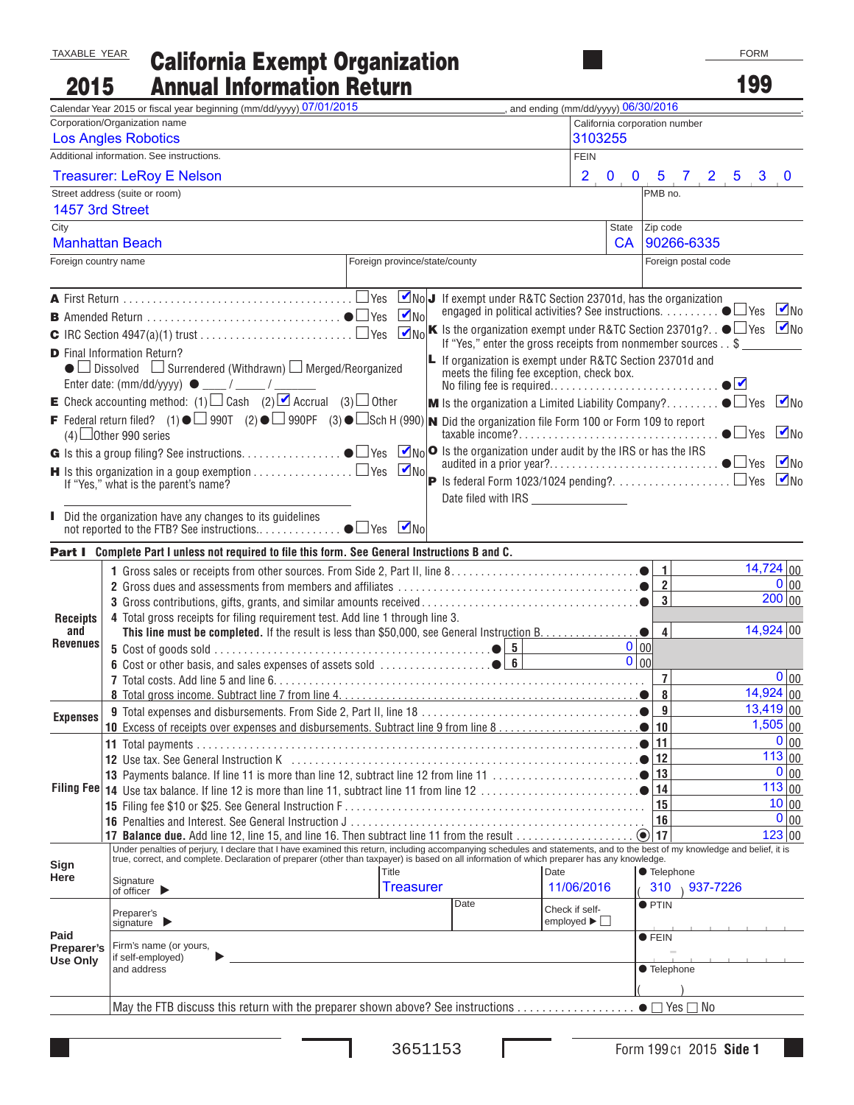## California Exempt Organization Annual Information Return TAXABLE YEAR 2015

| 2015                                                                                                                                                                                                     | <b>Annual Information Return</b>                                                                                                                                                                                                  |                                                                                         |                   |                                                                                                         |                                     |                          |                              |                     | 199         |                   |  |
|----------------------------------------------------------------------------------------------------------------------------------------------------------------------------------------------------------|-----------------------------------------------------------------------------------------------------------------------------------------------------------------------------------------------------------------------------------|-----------------------------------------------------------------------------------------|-------------------|---------------------------------------------------------------------------------------------------------|-------------------------------------|--------------------------|------------------------------|---------------------|-------------|-------------------|--|
|                                                                                                                                                                                                          | Calendar Year 2015 or fiscal year beginning (mm/dd/yyyy) 07/01/2015                                                                                                                                                               |                                                                                         |                   |                                                                                                         | and ending (mm/dd/yyyy) 06/30/2016  |                          |                              |                     |             |                   |  |
|                                                                                                                                                                                                          | Corporation/Organization name                                                                                                                                                                                                     |                                                                                         |                   |                                                                                                         | California corporation number       |                          |                              |                     |             |                   |  |
|                                                                                                                                                                                                          | <b>Los Angles Robotics</b>                                                                                                                                                                                                        |                                                                                         |                   |                                                                                                         | 3103255                             |                          |                              |                     |             |                   |  |
|                                                                                                                                                                                                          | Additional information. See instructions.                                                                                                                                                                                         |                                                                                         |                   |                                                                                                         | <b>FEIN</b>                         |                          |                              |                     |             |                   |  |
|                                                                                                                                                                                                          | <b>Treasurer: LeRoy E Nelson</b>                                                                                                                                                                                                  |                                                                                         |                   |                                                                                                         |                                     |                          |                              | 2 0 0 5 7 2 5 3 0   |             |                   |  |
|                                                                                                                                                                                                          | Street address (suite or room)                                                                                                                                                                                                    |                                                                                         |                   |                                                                                                         |                                     |                          | PMB no.                      |                     |             |                   |  |
| 1457 3rd Street                                                                                                                                                                                          |                                                                                                                                                                                                                                   |                                                                                         |                   |                                                                                                         |                                     |                          |                              |                     |             |                   |  |
| City                                                                                                                                                                                                     |                                                                                                                                                                                                                                   |                                                                                         |                   |                                                                                                         |                                     | <b>State</b>             | Zip code                     |                     |             |                   |  |
|                                                                                                                                                                                                          | <b>Manhattan Beach</b>                                                                                                                                                                                                            |                                                                                         |                   |                                                                                                         |                                     | <b>CA</b>                |                              | 90266-6335          |             |                   |  |
| Foreign country name                                                                                                                                                                                     |                                                                                                                                                                                                                                   | Foreign province/state/county                                                           |                   |                                                                                                         |                                     |                          |                              | Foreign postal code |             |                   |  |
|                                                                                                                                                                                                          |                                                                                                                                                                                                                                   |                                                                                         |                   | MoJ If exempt under R&TC Section 23701d, has the organization                                           |                                     |                          |                              |                     |             |                   |  |
|                                                                                                                                                                                                          |                                                                                                                                                                                                                                   | engaged in political activities? See instructions. $\ldots$ $\ldots$ $\blacksquare$ Yes |                   |                                                                                                         |                                     |                          |                              | $\n  V$ No          |             |                   |  |
| $\boxed{\blacksquare_{\text{NO}}}$ K is the organization exempt under R&TC Section 23701g? $\bullet$ $\Box$ Yes $\boxed{\blacksquare}$ No<br>If "Yes," enter the gross receipts from nonmember sources\$ |                                                                                                                                                                                                                                   |                                                                                         |                   |                                                                                                         |                                     |                          |                              |                     |             |                   |  |
|                                                                                                                                                                                                          | <b>D</b> Final Information Return?                                                                                                                                                                                                |                                                                                         |                   |                                                                                                         |                                     |                          |                              |                     |             |                   |  |
|                                                                                                                                                                                                          | $\bullet$ Dissolved $\Box$ Surrendered (Withdrawn) $\Box$ Merged/Reorganized                                                                                                                                                      |                                                                                         |                   | L If organization is exempt under R&TC Section 23701d and<br>meets the filing fee exception, check box. |                                     |                          |                              |                     | $\bullet$   |                   |  |
|                                                                                                                                                                                                          | <b>E</b> Check accounting method: (1) $\Box$ Cash (2) $\Box$ Accrual (3) $\Box$ Other                                                                                                                                             |                                                                                         |                   | <b>M</b> Is the organization a Limited Liability Company? $\bullet \Box$ Yes                            |                                     |                          |                              |                     |             | $M_{\text{NO}}$   |  |
|                                                                                                                                                                                                          | F Federal return filed? (1) $\bullet$ 990T (2) $\bullet$ 990PF (3) $\bullet$ Sch H (990) <b>N</b> Did the organization file Form 100 or Form 109 to report<br>$(4)$ Other 990 series                                              |                                                                                         |                   |                                                                                                         |                                     |                          |                              |                     |             | $M_{\text{NO}}$   |  |
|                                                                                                                                                                                                          |                                                                                                                                                                                                                                   |                                                                                         |                   |                                                                                                         |                                     |                          |                              |                     |             |                   |  |
|                                                                                                                                                                                                          |                                                                                                                                                                                                                                   | $\n  V$ No<br>$\blacksquare$ Is this organization in a goup exemption $\Box$ Yes        |                   |                                                                                                         |                                     |                          |                              |                     |             | $\n  W$           |  |
|                                                                                                                                                                                                          | If "Yes," what is the parent's name?                                                                                                                                                                                              |                                                                                         |                   |                                                                                                         |                                     |                          |                              |                     |             | $\blacksquare$ No |  |
|                                                                                                                                                                                                          |                                                                                                                                                                                                                                   |                                                                                         |                   | Date filed with IRS <b>Example 20</b>                                                                   |                                     |                          |                              |                     |             |                   |  |
|                                                                                                                                                                                                          | Did the organization have any changes to its guidelines                                                                                                                                                                           |                                                                                         | $\blacksquare$ No |                                                                                                         |                                     |                          |                              |                     |             |                   |  |
|                                                                                                                                                                                                          |                                                                                                                                                                                                                                   |                                                                                         |                   |                                                                                                         |                                     |                          |                              |                     |             |                   |  |
|                                                                                                                                                                                                          | Part I Complete Part I unless not required to file this form. See General Instructions B and C.                                                                                                                                   |                                                                                         |                   |                                                                                                         |                                     |                          |                              |                     | 14,724 00   |                   |  |
|                                                                                                                                                                                                          |                                                                                                                                                                                                                                   |                                                                                         |                   |                                                                                                         |                                     |                          | 1<br>$\overline{\mathbf{2}}$ |                     |             | $0 _{00}$         |  |
|                                                                                                                                                                                                          |                                                                                                                                                                                                                                   |                                                                                         |                   |                                                                                                         |                                     |                          | 3                            |                     |             | 200 00            |  |
| <b>Receipts</b>                                                                                                                                                                                          | 4 Total gross receipts for filing requirement test. Add line 1 through line 3.                                                                                                                                                    |                                                                                         |                   |                                                                                                         |                                     |                          |                              |                     |             |                   |  |
| and                                                                                                                                                                                                      |                                                                                                                                                                                                                                   |                                                                                         |                   |                                                                                                         |                                     |                          | $\overline{\mathbf{4}}$      |                     | $14,924$ 00 |                   |  |
| <b>Revenues</b>                                                                                                                                                                                          |                                                                                                                                                                                                                                   |                                                                                         |                   |                                                                                                         |                                     | 0 00                     |                              |                     |             |                   |  |
|                                                                                                                                                                                                          |                                                                                                                                                                                                                                   |                                                                                         |                   |                                                                                                         |                                     | $\overline{0}$ 00        |                              |                     |             |                   |  |
|                                                                                                                                                                                                          |                                                                                                                                                                                                                                   |                                                                                         |                   |                                                                                                         |                                     |                          | 7<br>8                       |                     | $14,924$ 00 | $0 _{00}$         |  |
|                                                                                                                                                                                                          |                                                                                                                                                                                                                                   |                                                                                         |                   |                                                                                                         |                                     | . $\bullet$              | 9                            |                     | $13,419$ 00 |                   |  |
| <b>Expenses</b>                                                                                                                                                                                          |                                                                                                                                                                                                                                   |                                                                                         |                   |                                                                                                         |                                     |                          | 10                           |                     |             | 1,505 00          |  |
|                                                                                                                                                                                                          |                                                                                                                                                                                                                                   |                                                                                         |                   |                                                                                                         |                                     |                          | 11                           |                     |             | $0 _{00}$         |  |
|                                                                                                                                                                                                          |                                                                                                                                                                                                                                   |                                                                                         |                   |                                                                                                         |                                     |                          | 12                           |                     |             | 113 00            |  |
|                                                                                                                                                                                                          |                                                                                                                                                                                                                                   |                                                                                         |                   |                                                                                                         |                                     |                          | 13                           |                     |             | $0 _{00}$         |  |
| <b>Filing Fee</b>                                                                                                                                                                                        |                                                                                                                                                                                                                                   |                                                                                         |                   |                                                                                                         |                                     |                          | 14                           |                     |             | 113 00            |  |
|                                                                                                                                                                                                          |                                                                                                                                                                                                                                   |                                                                                         |                   |                                                                                                         |                                     |                          | 15<br>16                     |                     |             | 10 00<br>0 00     |  |
|                                                                                                                                                                                                          | 17 Balance due. Add line 12, line 15, and line 16. Then subtract line 11 from the result                                                                                                                                          |                                                                                         |                   |                                                                                                         |                                     | $\left( \bullet \right)$ | 17                           |                     |             | 123 00            |  |
|                                                                                                                                                                                                          | Under penalties of perjury, I declare that I have examined this return, including accompanying schedules and statements, and to the best of my knowledge and belief, it is<br>true, correct, and complete. Declaration of prepare |                                                                                         |                   |                                                                                                         |                                     |                          |                              |                     |             |                   |  |
| Sign                                                                                                                                                                                                     |                                                                                                                                                                                                                                   | Title                                                                                   |                   |                                                                                                         | Date                                |                          | ● Telephone                  |                     |             |                   |  |
| Here                                                                                                                                                                                                     | Signature<br>of officer                                                                                                                                                                                                           |                                                                                         | <b>Treasurer</b>  |                                                                                                         | 11/06/2016                          |                          | 310                          | 937-7226            |             |                   |  |
|                                                                                                                                                                                                          |                                                                                                                                                                                                                                   |                                                                                         |                   | Date                                                                                                    | Check if self-                      |                          | $\bullet$ PTIN               |                     |             |                   |  |
|                                                                                                                                                                                                          | Preparer's<br>signature $\blacktriangleright$                                                                                                                                                                                     |                                                                                         |                   |                                                                                                         | employed $\blacktriangleright \Box$ |                          |                              |                     |             |                   |  |
| Paid                                                                                                                                                                                                     | Firm's name (or yours,                                                                                                                                                                                                            |                                                                                         |                   |                                                                                                         |                                     |                          | $\bullet$ FEIN               |                     |             |                   |  |
| Preparer's<br><b>Use Only</b>                                                                                                                                                                            | if self-employed)                                                                                                                                                                                                                 |                                                                                         |                   |                                                                                                         |                                     |                          |                              |                     |             |                   |  |
|                                                                                                                                                                                                          | and address                                                                                                                                                                                                                       |                                                                                         |                   |                                                                                                         |                                     |                          | ● Telephone                  |                     |             |                   |  |
|                                                                                                                                                                                                          |                                                                                                                                                                                                                                   |                                                                                         |                   |                                                                                                         |                                     |                          |                              |                     |             |                   |  |
|                                                                                                                                                                                                          |                                                                                                                                                                                                                                   |                                                                                         |                   |                                                                                                         |                                     |                          |                              |                     |             |                   |  |

ı

Г